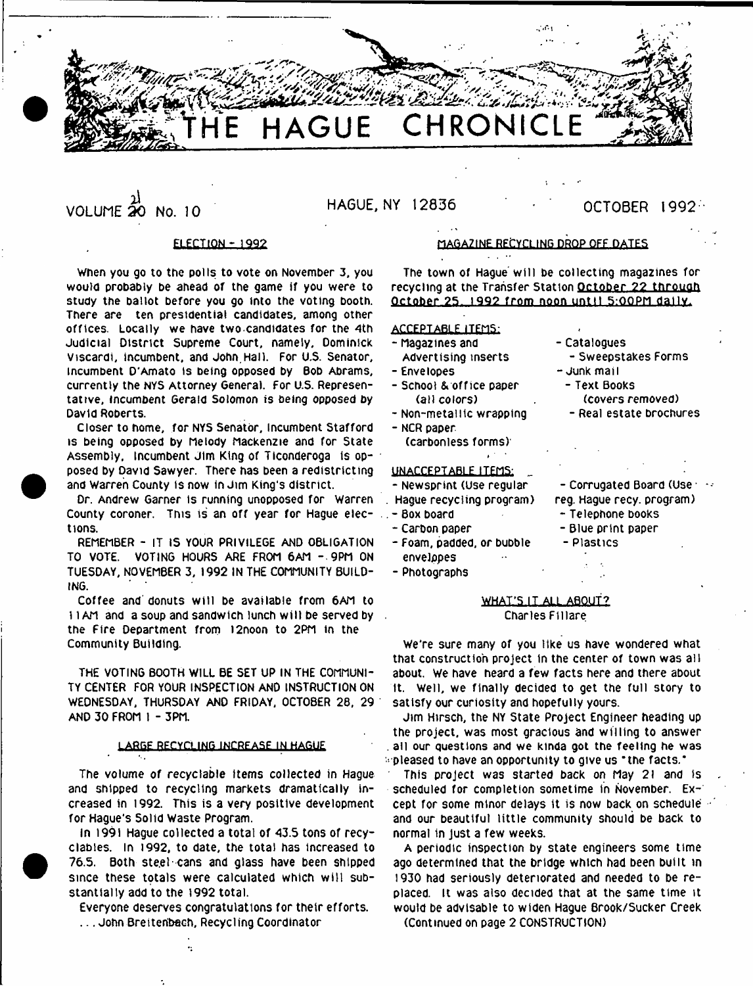

i i **VOLUME 20 NO. 10 HA6UE. NY 12836 OCTOBER 1992**

# ELECTION - 1992

When you go to the polls to vote on November 3, you would probably be ahead of the game If you were to study the ballot before you go into the voting booth. There are ten presidential candidates, among other offices. Locally we have two.candidates for the 4th Judicial District Supreme Court, namely, Dominick Viscardi, incumbent, and John,Hall. For U.S. Senator, incumbent D'Amato is being opposed by Bob Abrams, currently the NYS Attorney General. For U.S. Representative, incumbent Gerald Solomon is being opposed by David Roberts.

Closer to home, for NYS Senator, Incumbent Stafford is being opposed by Melody Mackenzie and for State Assembly, Incumbent Jim King of Tlconderoga is opposed by David Sawyer. There has been a redistrlcting and Warren County is now in Jim King's district.

Dr. Andrew Garner is running unopposed for Warren County coroner. This is an off year for Hague elections.

REMEMBER - IT IS YOUR PRIVILEGE AND OBLIGATION TO VOTE. VOTING HOURS ARE FROM 6AM - 9PM ON TUESDAY, NOVEMBER 3, 1992 IN THE COMMUNITY BUILD-ING.

Coffee and donuts will be available from 6AM to 11AM and a soup and sandwich lunch will be served by ... the Fire Department from !2noon to 2PM in the Community Building.

THE VOTING BOOTH WILL BE SET UP IN THE COMMUNI-TY CENTER FOR YOUR INSPECTION AND INSTRUCTION ON WEDNESDAY, THURSDAY AND FRIDAY, OCTOBER 28, 29 AND 30 FROM 1 - 3PM.

# LARGE RECYCLING INCREASE IN HAGUE

The volume of recyclable items collected in Hague and shipped to recycling markets dramatically increased in 1992. This is a very positive development for Hague's Solid Waste Program.

In 1991 Hague collected a total of 43.5 tons of recyclabies. In 1992, to date, the total has increased to 76.5. Both steel-cans and glass have been shipped since these totals were calculated which will substantially add to the 1992 total.

Everyone deserves congratulations for their efforts. ... John Breitenbach, Recycling Coordinator

# MAGAZINE RECYCLING DROP OFF DATES

The town of Hague will be collecting magazines for recycling at the Transfer Station October 22 through October 25, 1992 from noon until 5:00PM daily.

# ACCEPTABLE ITEMS:

- Magazines and Advertising inserts
- Envelopes
- School & office paper (all colors)
- Non-metatitc wrapping
- NCR paper
- (carbonless forms)'

# UNACCEPTABLE ITEMS:

- Newsprint (Use regular
- Hague recycling program)
- Box board
- Carbon paper
- Foam, padded, or bubble envelopes
- 
- Photographs
- Catalogues - Sweepstakes Forms
- Junk mail
	- Text Books (covers removed)
	- Real estate brochures
- Corrugated Board (Use  $\cdots$ reg. Hague recy. program)
	- Telephone books
	- Blue print paper
	- Plastics

# WHAT'S IT ALL ABOUT? Charles Fillare

We're sure many of you like us have wondered what that construction project in the center of town was all about. We have heard a few facts here and there about ft. Well, we finally decided to get the full story to satisfy our curiosity and hopefully yours.

Jim Hirsch, the NY State Project Engineer heading up the project, was most gracious and willing to answer all our questions and we kinda got the feeling he was ■ pleased to have an opportunity to give us 'the facts.'

This project was started back on May 2i and is scheduled for completion sometime in November. Ex-1 cept for some minor delays it is now back on schedule  $\le$ and our beautiful little community should be back to normal in Just a few weeks.

A periodic inspection by state engineers some time ago determined that the bridge which had been built in 1930 had seriously deteriorated and needed to be replaced. It was also decided that at the same time it would be advisable to widen Hague Brook/Sucker Creek (Continued on page 2 CONSTRUCTION)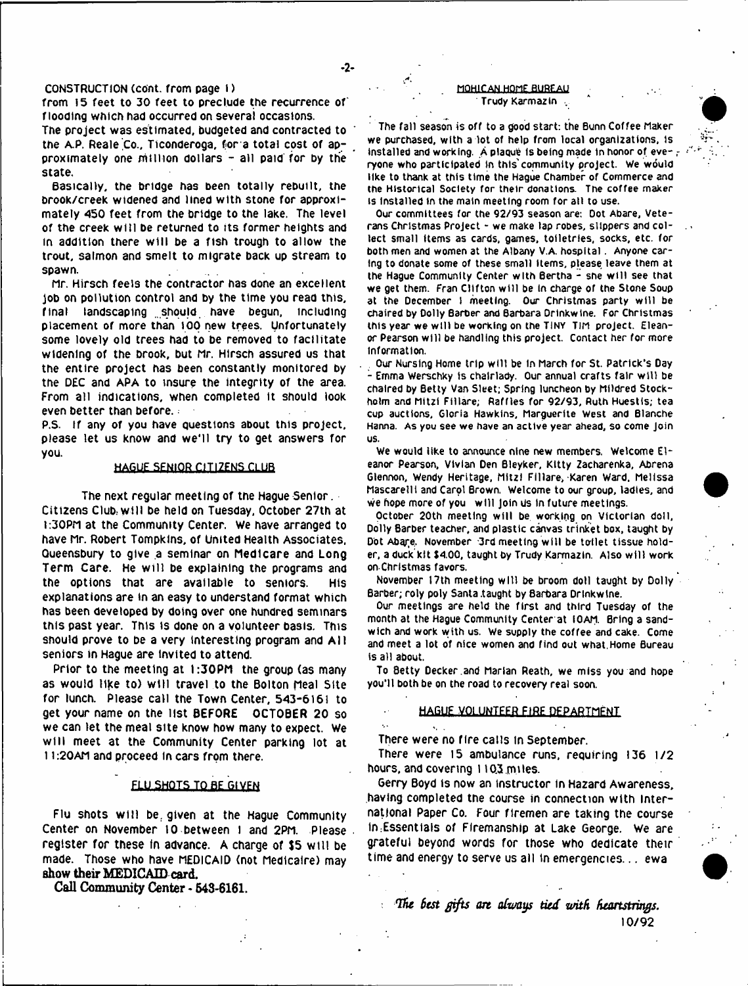# CONSTRUCTION Ccont. from page I )

from 15 feet to 30 feet to preclude the recurrence of flooding which had occurred on several occasions.

The project was estimated, budgeted and contracted to the A.P. Reale Co., Ticonderoga, for a total cost of approximately one million dollars - all paid for by the state.

Basically, the bridge has been totally rebuilt, the brook/creek widened and lined with stone for approximately 450 feet from the bridge to the lake. The level of the creek will be returned to its former heights and in addition there w ill be a fish trough to allow the trout, salmon and smelt to migrate back up stream to spawn.

Mr. Hirsch feels the contractor has done an excellent job on pollution control and by the time you read this, final landscaping should have begun, including placement of more than 100 new trees. Unfortunately some lovely old trees had to be removed to facilitate widening of the brook, but Mr. Hirsch assured us that the entire project has been constantly monitored by the DEC and APA to insure the integrity of the area. From all indications, when completed it should look even better than before.

P.S. If any of you have questions about this project, please let us know and we'll try to get answers for you.

### HAGUE SENIOR CITIZENS CLUB

The next regular meeting of the Hague Senior. Citizens Club.wiH be held on Tuesday, October 27th at 1:30PM at the Community Center. We have arranged to have Mr. Robert Tompkins, of United Health Associates, Queensbury to give a seminar on Medicare and Long Term Care. He will be explaining the programs and the options that are available to seniors. His explanations are in an easy to understand format which has been developed by doing over one hundred seminars this past year. This is done on a volunteer basis. This should prove to be a very interesting program and All seniors in Hague are Invited to attend.

Prior to the meeting at 1:30PM the group (as many as would like to) will travel to the Bolton Meal Site for lunch. Please call the Town Center, 543-6161 to get your name on the list BEFORE OCTOBER 20 so we can let the meal site know how many to expect. We will meet at the Community Center parking lot at 11:20AM and proceed In cars from there.

### FLU SHOTS TO BE GIVEN

Flu shots w ill be. given at the Hague Community Center on November 10 between I and 2PM. Please register for these fn advance. A charge of \$5 w ill be made. Those who have MEDICAID (not Medlcaire) may show their MEDICAID card.

Call Community Center - 643-6161.

### . MOHICAN. HOME BUREAU **Trudy Karmazin**

**The fall season is off to a good start: the Bunn Coffee Maker we purchased, with a lot of help from local organizations, is Installed and working. A plaque Is being made in honor of eve- r ryone who participated In this'community project. We would tike to thank at this time the Hague Chamber of Commerce and the Historical Society for their donations. The coffee maker is Installed in the main meeting room for alt to use.**

**Our committees for the 92/93 season are: Dot Abare, Veterans Christmas Project - we make tap robes, slippers and collect small Hems as cards, games, toiletries, socks, etc. for both men and women at the Albany V.A. hospital. Anyone caring to donate some of these small Hems, please leave them at the Hague Community Center with Bertha - she w ill see that we get them. Fran Clifton w ill be In charge of the Stone Soup at the December I meeting. Our Christmas party w ill be chaired by Dolly Barber and Barbara Drlnkwtne. For Christmas this year we w ill be working on the TINY TiM project. Eleanor Pearson will be handling this project. Contact her for more information.**

**Our Nursing Home trip w ill be In March for St. Patrick's Day 1 Emma Werschky is chalrlady. Our annual crafts fair w ill be chaired by Betty Van Sleet; Spring luncheon by Mildred Stockholm and Mitzi Fillare; Raffles for 92/93, Ruth Huestis; tea cup auctions, Gloria Hawkins, Marguerite West and Blanche Hanna. As you see we have an active year ahead, so come Join us.**

**We would like to announce nine new members. Welcome Eleanor Pearson, Vivian Den Bleyker, Kitty Zacharenka, Abrena Glennon, Wendy Heritage, Mltzl Fillare, Karen Ward, Melissa Mascarelll and Carpi Brown. Welcome to our group, ladles, and We hope more of you w ill Join us in future meetings.**

**October 20th meeting w ill be working on Victorian doll, Dolly Barber teacher, and plastic canvas trinket box, taught by** Dot Abare. November '3rd meeting will be toilet tissue hold**er, a duck kit \$400, taught by Trudy Karmazin. Also w ill work on Christmas favors.**

**November 17th meeting w ill be broom doll taught by Dolly Barber; roly poly Santa .taught by Barbara Drlnkwine.**

**Our meetings are held the first and third Tuesday of the month at the Hague Community Center at 10AM. Bring a sandwich and work with us. We supply the coffee and cake. Come and meet a lot of nice women and find out what.Home Bureau is all about.**

**To Betty Decker.and Marian Reath, we miss you and hope you'll both be on the road to recovery real soon.**

### HAGUEJ^QLUNTEER FIRE DFPARTMFNT

There were no fire calls in September.

There were **1**5 ambulance runs, requiring **136 1/2** hours, and covering 11Q3 miles.

Gerry Boyd is now an instructor in Hazard Awareness, having completed the course in connection with international Paper Co. Four firemen are taking the course In:Essentials of Flremanship at Lake George. We are grateful beyond words for those who dedicate their time and energy to serve us all in emergencies... ewa

*'flu test gifts art afamys tied with heartstrings.* 10/92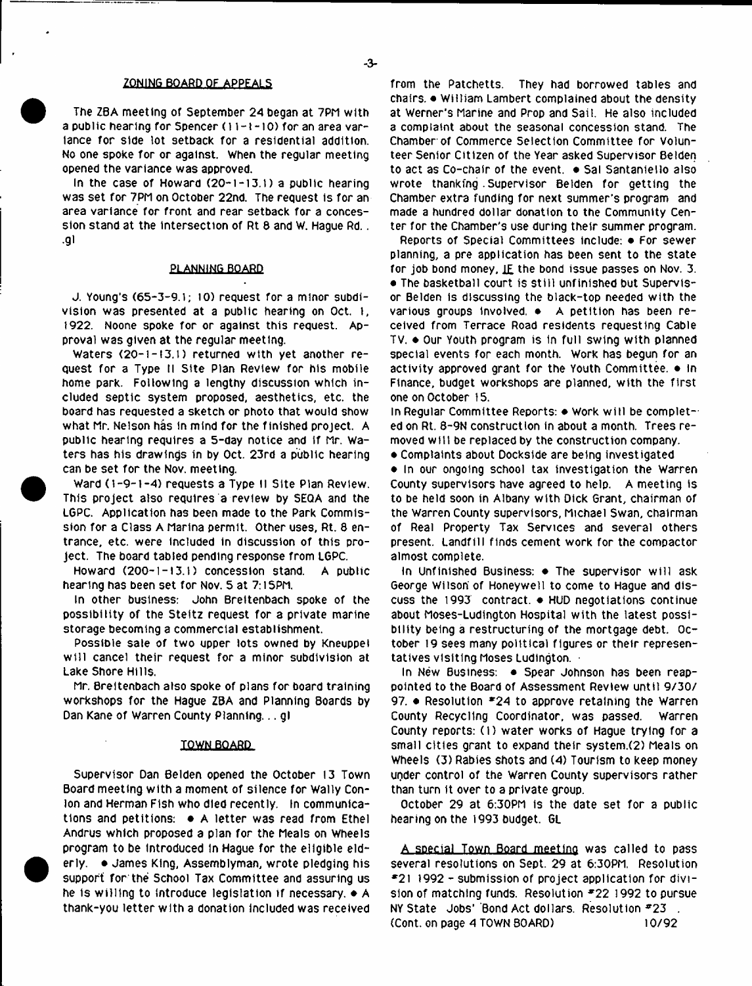# **ZONING BOARD OF APPEALS**

The ZBA meeting of September 2*A* began at 7PM with a public hearing for Spencer (11-1-10) for an area variance for side lot setback for a residential addition. No one spoke for or against. When the regular meeting opened the variance was approved.

In the case of Howard  $(20-1-13.1)$  a public hearing was set for 7PM on October 22nd. The request is for an area variance for front and rear setback for a concession stand at the intersection of Rt 8 and W. Hague Rd.. **•gi**

### PLANNING BOARD

J. Young's (65-3-9.1; 10) request for a minor subdivision was presented at a public hearing on Oct. 1, 1922. Noone spoke for or against this request. Approval was given at the regular meeting.

Waters (20-1-13.1) returned with yet another request for a Type tl Site Plan Review for his mobile home park. Following a lengthy discussion which included septic system proposed, aesthetics, etc. the board has requested a sketch or photo that would show what Mr. Nelson has in mind for the finished project. A public hearing requires a 5-day notice and If Mr. Waters has his drawings in by Oct. 23rd a public hearing can be set for the Nov. meeting.

Ward (1-9-1-4) requests a Type II Site Plan Review. This project also requires a review by SEQA and the LGPC. Application has been made to the Park Commission for a Class A Marina permit. Other uses, Rt. 8 entrance, etc. were included in discussion of this project. The board tabled pending response from LGPC.

Howard (200-1-13.1) concession stand. A public hearing has been set for Nov. 5 at 7:15PM.

In other business: John Brettenbach spoke of the possibility of the Steltz request for a private marine storage becoming a commercial establishment.

Possible sale of two upper lots owned by Kneuppel w ill cancel their request for a minor subdivision at Lake Shore Hills.

Mr. Breltenbach also spoke of plans for board training workshops for the Hague ZBA and Planning Boards by Dan Kane of Warren County Planning... gl

## TOWN BOARD

Supervisor Dan Belden opened the October 13 Town Board meeting with a moment of silence for Wally Conlon and Herman Fish who died recently. In communications and petitions: • A letter was read from Ethel Andrus which proposed a plan for the Meals on Wheels program to be Introduced In Hague for the eligible elderly. . James King, Assemblyman, wrote pledging his support for the School Tax Committee and assuring us he is willing to introduce legislation if necessary,  $\bullet$  A thank-you letter with a donation included was received

from the Patchetts. They had borrowed tables and chairs. • William Lambert complained about the density at Werner's Marine and Prop and Sail. He also included a complaint about the seasonal concession stand. The Chamber of Commerce Selection Committee for volunteer Senior Citizen of the Year asked Supervisor 8elden to act as Co-chair of the event. . Sal Santaniello also wrote thanking . Supervisor Belden for getting the Chamber extra funding for next summer's program and made a hundred dollar donation to the Community Center for the Chamber's use during their summer program.

Reports of Special Committees include: • For sewer planning, a pre application has been sent to the state for job bond money,  $IE$  the bond issue passes on Nov. 3. • The basketball court is still unfinished but Supervisor Belden Is discussing the black-top needed with the various groups involved. • A petition has been received from Terrace Road residents requesting Cable TV. ♦ Our Youth program is in full swing with planned special events for each month. Work has begun for an activity approved grant for the Youth Committee. • in Finance, budget workshops are planned, with the first one on October 15.

In Regular Committee Reports: ♦ Work w ill be completed on Rt. 8-9N construction in about a month. Trees removed w ill be replaced by the construction company.

• Complaints about Dockslde are being investigated

• In our ongoing school tax investigation the Warren County supervisors have agreed to help. A meeting is to be held soon in Albany with Dick Grant, chairman of the Warren County supervisors, Michael Swan, chairman of Real Property Tax Services and several others present. Landfill finds cement work for the compactor almost complete.

In Unfinished Business:  $\bullet$  The supervisor will ask George Wilson of Honeywell to come to Hague and discuss the 1993 contract. ♦ HUD negotiations continue about Moses-Ludington Hospital with the latest possibility being a restructuring of the mortgage debt. October 19 sees many political figures or their representatives visiting Moses Ludington.

In New Business: • Spear Johnson has been reappointed to the Board of Assessment Review until 9/30/ 97. • Resolution \*2*A* to approve retaining the Warren County Recycling Coordinator, was passed. Warren County reports: (I) water works of Hague trying for a small cities grant to expand their system.(2) Meals on Wheels (3) Rabies shots and (4) Tourism to keep money ugder control of the Warren County supervisors rather than turn it over to a private group.

October 29 at 6:30PM is the date set for a public hearing on the 1993 budget. GL

A special Town Board meeting was called to pass several resolutions on Sept. 29 at 6:30PM. Resolution \*21 1992 - submission of project application for division of matching funds. Resolution #22 1992 to pursue NY State Jobs' Bond Act dollars. Resolution \*23 . (Cont. on page *A* TOWN BOARD) 10/92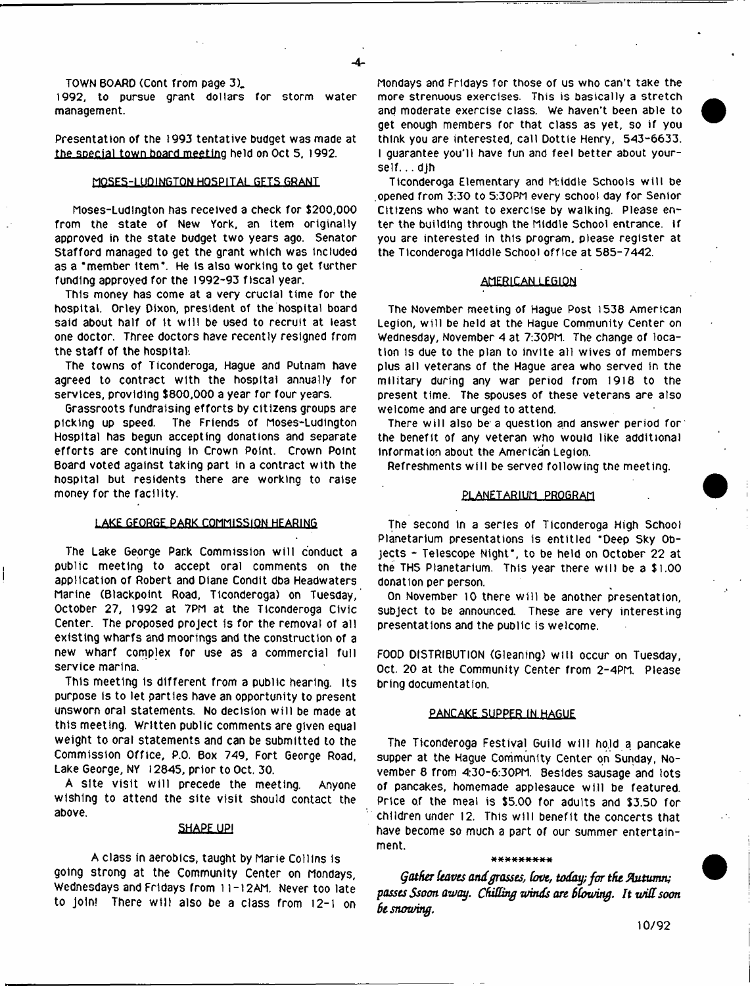TOWN BOARD (Cont from page 3).

1992, to pursue grant dollars for storm water management.

Presentation of the 1993 tentative budget was made at the special town board meeting held on Oct 5, 1992.

## MQSES-LUQ1NGTON HOSPITAL GETS GRANT

Moses-Ludington has received a check for \$200,000 from the state of New York, an item originally approved in the state budget two years ago. Senator Stafford managed to get the grant which was included as a 'member item\*. He is also working to get further funding approved for the 1992-93 fiscal year.

This money has come at a very crucial time for the hospital. Orley Dixon, president of the hospital board said about half of it will be used to recruit at least one doctor. Three doctors have recently resigned from the staff of the hospital.

The towns of Ticonderoga, Hague and Putnam have agreed to contract with the hospital annually for services, providing \$800,000 a year for four years.

Grassroots fundraising efforts by citizens groups are picking up speed. The Friends of Moses-Ludlngton Hospital has begun accepting donations and separate efforts are continuing in Crown Point. Crown Point Board voted against taking part in a contract with the hospital but residents there are working to raise money for the raciltty.

# LAKE GEORGE PARK COMMISSION HEARING

The Lake George Park Commission w ill conduct a public meeting to accept oral comments on the application of Robert and Diane Condit dba Headwaters Marine (Blackpoint Road, Ticonderoga) on Tuesday, October 27, 1992 at 7PM at the Ticonderoga Civic Center. The proposed project is for the removal of all existing wharfs and moorings and the construction of a new wharf complex for use as a commercial full service marina.

This meeting is different from a public hearing. Its purpose is to let parties have an opportunity to present unsworn oral statements. No decision w ill be made at this meeting. Written public comments are given equal weight to oral statements and can be submitted to the Commission Office, P.O. Box 749, Fort George Road, Lake George, NY 12845, prior to Oct, 30.

A site visit will precede the meeting. Anyone wishing to attend the site visit should contact the above.

## **SHAPE UP!**

A class In aerobics, taught by Marie Collins is going strong at the Community Center on Mondays, Wednesdays and Fridays from 11-12AM. Never too late to join! There will also be a class from 12-1 on Mondays and Fridays for those of us who can't take the more strenuous exercises. This is basically a stretch and moderate exercise class. We haven't been able to get enough members for that class as yet, so if you think you are interested, call Dottie Henry, 543-6633. I guarantee you'll have fun and feel better about yourself. .. djh

Ticonderoga Elementary and M:iddte Schools w ill be .opened from 3:30 to 5:30PM every school day for Senior Citizens who want to exercise by walking. Please enter the building through the Middle School entrance. If you are interested in this program, please register at the Ticonderoga Middle School office at 585-7442,

### **AMERICAN LEGION**

The November meeting of Hague Post 1538 American Legion, w ill be held at the Hague Community Center on Wednesday, November 4 at 7:30PM. The change of location is due to the plan to invite all wives of members plus all veterans of the Hague area who served in the military during any war period from 1918 to the present time. The spouses of these veterans are also welcome and are urged to attend.

There will also be a question and answer period for the benefit of any veteran who would like additional information about the American Legion.

Refreshments w ill be served following the meeting.

### PLANETARIUM PROGRAM

The second In a series of Ticonderoga High School Planetarium presentations is entitled "Deep Sky Objects - Telescope Night', to be held on October 22 at the THS Planetarium. This year there will be a \$1.00 donation per person.

On November 10 there will be another presentation, subject to be announced. These are very interesting presentations and the public is welcome.

FOOD DISTRIBUTION (Gleaning) w ill occur on Tuesday, Oct. 20 at the Community Center from 2-4PM. Please bring documentation.

### PANCAKE SUPPER IN HAGUE

The Ticonderoga Festival Guild w ill ho.ld a pancake supper at the Hague Community Center on Sunday, November 8 from 4:30-6:30PM. Besides sausage and lots of pancakes, homemade applesauce w ill be featured. Price of the meal is \$5.00 for adults and \$3.50 for children under 12. This will benefit the concerts that have become so much a part of our summer entertainment.

### \*\*\*\*\*\*\*\*\*

*Gather ieaves and grasses***,** *Cove, today; for the Autumn; passes Ssoon away. Chitting winds are Stowing. It witt soon 6e snowing,*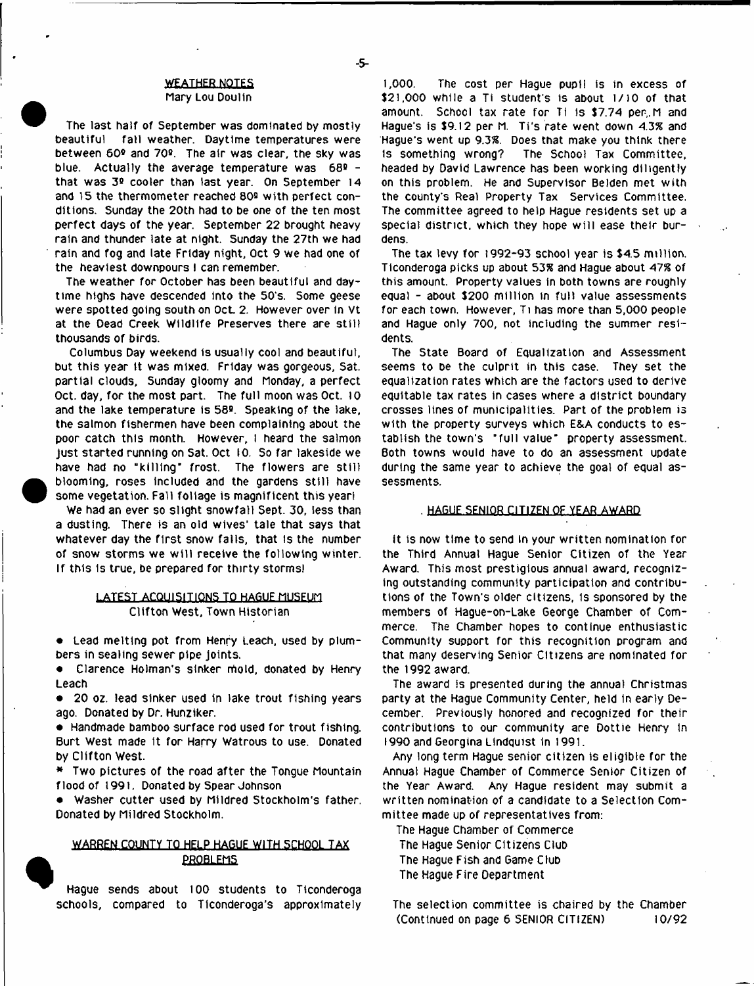# $-5$

# **.WEATHER NOTES**

### Mary Lou Doulln

The last half of September was dominated by mostly beautiful fall weather. Daytime temperatures were between 60° and 70°. The air was clear, the sky was blue. Actually the average temperature was 68° that was 3° cooler than last year. On September 14 and 15 the thermometer reached 80° with perfect conditions. Sunday the 20th had to be one of the ten most perfect days of the year. September 22 brought heavy rain and thunder late at night. Sunday the 27th we had rain and fog and late Friday night, Oct 9 we had one of the heaviest downpours I can remember.

The weather for October has been beautiful and daytime highs have descended into the 50's. Some geese were spotted going south on Oct 2. However over In vt at the Dead Creek Wildlife Preserves there are still thousands of birds.

Columbus Day weekend is usually cool and beautiful, but this year It was mixed. Friday was gorgeous, Sat. partial clouds, Sunday gloomy and Monday, a perfect Oct. day, for the most part. The full moon was Oct. 10 and the lake temperature is 58°. Speaking of the lake, the salmon fishermen have been complaining about the poor catch this month. However, I heard the salmon just started running on Sat. Oct 10. So far lakeside we have had no "killing" frost. The flowers are still blooming, roses included and the gardens still have some vegetation. Fall foliage is magnificent this yearl

We had an ever so slight snowfall Sept. 30, less than a dusting. There is an old wives' tale that says that whatever day the first snow falls, that is the number of snow storms we w ill receive the following winter. If this Is true, be prepared for thirty storms)

# LATEST ACQUISITIONS TO HAGUE MUSEUM Clifton West, Town Historian

• Lead melting pot from Henry Leach, used by plumbers in sealing sewer pipe Joints.

• Clarence Holman's sinker mold, donated by Henry Leach

• 20 oz. lead sinker used in lake trout fishing years ago. Donated by Dr. Hunziker.

• Handmade bamboo surface rod used for trout fishing. Burt West made It for Harry Watrous to use. Donated by Clifton West.

• Two pictures of the road after the Tongue Mountain flood of 1991. Donated by Spear Johnson

• Washer cutter used by Mildred Stockholm's father. Donated by Mildred Stockholm.

# WARREN COUNTY TO HELP HAGUE WITH SCHOOL TAX **PROBLEMS**

Hague sends about 100 students to Ticonderoga schools, compared to Ticonderoga's approximately

1,000. The cost per Hague pupil is in excess of \$21,000 while a Ti student's is about 1/10 of that amount. School tax rate for Ti is \$7.74 per, M and Hague's is \$9.12 per M. Ti's rate went down 4.3% and Hague's went up 9.3%. Does that make you think there is something wrong? The School Tax Committee, headed by David Lawrence has been working diligently on this problem. He and Supervisor Belden met with the county's Real Property Tax Services Committee. The committee agreed to help Hague residents set up a special district, which they hope w ill ease their burdens.

The tax levy for 1992-93 school year is \$4.5 million. Ticonderoga picks up about 53% and Hague about 47% of this amount. Property values in both towns are roughly equal - about \$200 million in full value assessments for each town. However, Ti has more than 5,000 people and Hague only 700, not including the summer residents.

The State Board of Equalization and Assessment seems to be the culprit in this case. They set the equalization rates which are the factors used to derive equitable tax rates in cases where a district boundary crosses lines of municipalities. Part of the problem is with the property surveys which E&A conducts to establish the town's "full value' property assessment. Both towns would have to do an assessment update during the same year to achieve the goal of equal assessments.

### HAGUE SENIOR CITIZEN OF YEAR AWARD

It is now time to send In your written nomination for the Third Annual Hague Senior Citizen of the Year Award. This most prestigious annual award, recognizing outstanding community participation and contributions of the Town's older citizens, Is sponsored by the members of Hague-on-Lake George Chamber of Commerce. The Chamber hopes to continue enthusiastic Community support for this recognition program and that many deserving Senior Citizens are nominated for the 1992 award.

The award is presented during the annual Christmas party at the Hague Community Center, held in early December. Previously honored and recognized for their contributions to our community are Dottie Henry In 1990 and Georgina Lindquist In 1991.

Any long term Hague senior citizen is eligible for the Annual Hague Chamber of Commerce Senior Citizen of the Year Award. Any Hague resident may submit a written nomination of a candidate to a Selection Committee made up of representatives from:

The Hague Chamber of Commerce The Hague Senior Citizens Club The Hague Fish and Game Club The Hague Fire Department

The selection committee is chaired by the Chamber (Continued on page 6 SENIOR CITIZEN) 10/92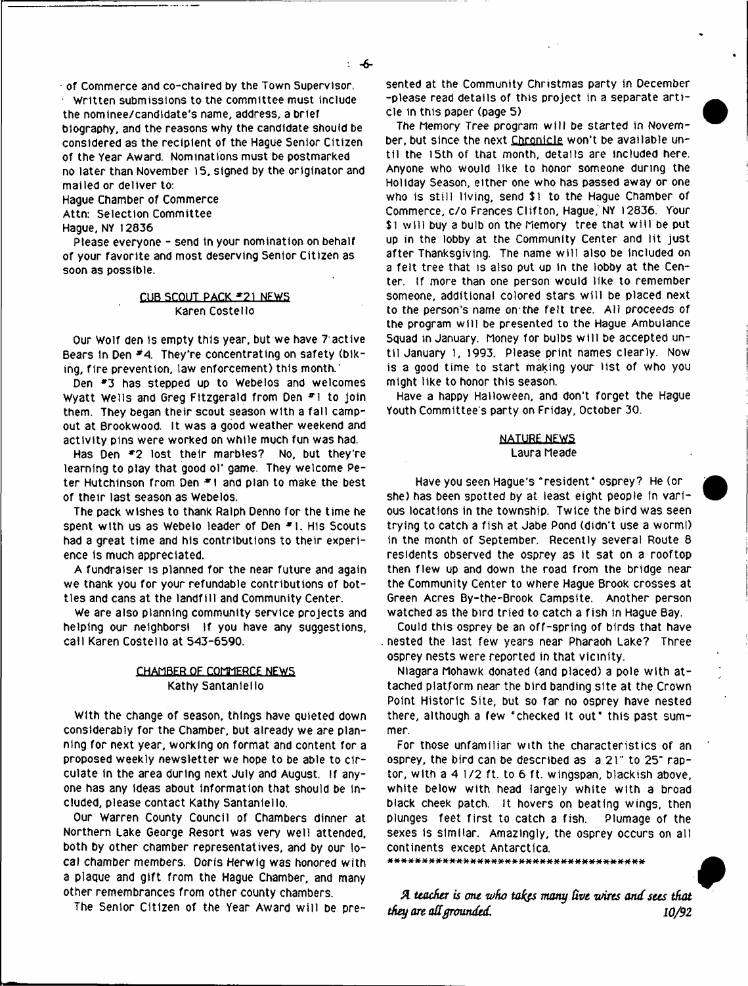Hague Chamber of Commerce Attn: Selection Committee

Hague, NY 12836

Please everyone - send in your nomination on behalf of your favorite and most deserving Senior Citizen as soon as possible.

# CUBSCQUT PACK \*21 NEWS Karen Costello

Our Wolf den is empty this year, but we have *T* active Bears in Den *\*4.* They're concentrating on safety (biking, fire prevention, law enforcement) this month.'

Den \*3 has stepped up to Webeios and welcomes Wyatt Wells and Greg Fitzgerald from Den #1 to join them. They began their scout season with a fall campout at Brookwood. It was a good weather weekend and activity pins were worked on while much fun was had.

Has Den \*2 lost their marbles? No, but they're learning to play that good ol' game. They welcome Peter Hutchinson from Den *\* \* and plan to make the best of their last season as Webeios.

The pack wishes to thank Ralph Denno for the time he spent with us as Webelo leader of Den \*1. His Scouts had a great time and his contributions to their experience is much appreciated.

A fundraiser is planned for the near future and again we thank you for your refundable contributions of bottles and cans at the landfill and Community Center

We are also planning community service projects and helping our neighbors! If you have any suggestions, call Karen Costello at 543-6590.

# CHAMBER OF COMMERCE NEWS Kathy Santanieiio

With the change of season, things have quieted down considerably for the Chamber, but already we are planning for next year, working on format and content for a proposed weekly newsletter we hope to be able to circulate in the area during next July and August. If anyone has any Ideas about information that should be Included, please contact Kathy Santanieiio.

Our Warren County Council of Chambers dinner at Northern Lake George Resort was very well attended, both by other chamber representatives, and by our local chamber members. Doris Herwig was honored with a plaque and gift from the Hague Chamber, and many other remembrances from other county chambers.

The Senior Citizen of the Year Award will be pre-

sented at the Community Christmas party in December -please read details of this project in a separate article in this paper (page 5)

The Memory Tree program w ill be started in November, but since the next Chronicle won't be available until the 15th of that month, details are included here. Anyone who would like to honor someone during the Holiday Season, either one who has passed away or one who is still living, send \$1 to the Hague Chamber of Commerce, c/o Frances Clifton, Hague, NY 12836. Your \$1 will buy a bulb on the Memory tree that will be put up in the lobby at the Community Center and lit just after Thanksgiving. The name will also be included on a felt tree that is also put up in the lobby at the Center. if more than one person would like to remember someone, additional colored stars will be placed next to the person's name on-the felt tree. All proceeds of the program will be presented to the Hague Ambulance Squad in January. Money for bulbs w ill be accepted until January 1, 1993. Please print names clearly. Now is a good time to start making your list of who you might like to honor this season.

Have a happy Halloween, and don't forget the Hague Youth Committee's party on Friday, October 30.

# **NATURE NEWS** Laura Meade

Have you seen Hague's "resident\* osprey? He (or she) has been spotted by at least eight people in various locations in the township. Twice the bird was seen trying to catch a fish at Jabe Pond (didn't use a worml) in the month of September. Recently several Route 8 residents observed the osprey as it sat on a rooftop then flew up and down the road from the bridge near the Community Center to where Hague Brook crosses at Green Acres By-the-Brook Campsite. Another person watched as the bird tried to catch a fish in Hague Bay.

Could this osprey be an off-spring of birds that have nested the last few years near Pharaoh Lake? Three osprey nests were reported in that vicinity.

Niagara Mohawk donated (and placed) a pole with attached platform near the bird banding site at the Crown Point Historic Site, but so far no osprey have nested there, although a few "checked it out" this past summer.

For those unfamiliar with the characteristics of an osprey, the bird can be described as a 21" to 25" raptor, with a 4 1/2 ft. to 6 ft. wingspan, blackish above, white below with head largely white with a broad black cheek patch, it hovers on beating wings, then plunges feet first to catch a fish. Plumage of the sexes is similar. Amazingly, the osprey occurs on all continents except Antarctica.

» # #--\*\*■\*\* #-\*\*■\* \* \* \*•\*\*■\*■ \* \* \* \* \*■ \* \* # # w\*

*Si teacher is one v/ho tafos many Uve w/ires and sees that they are att grounded. 10/92*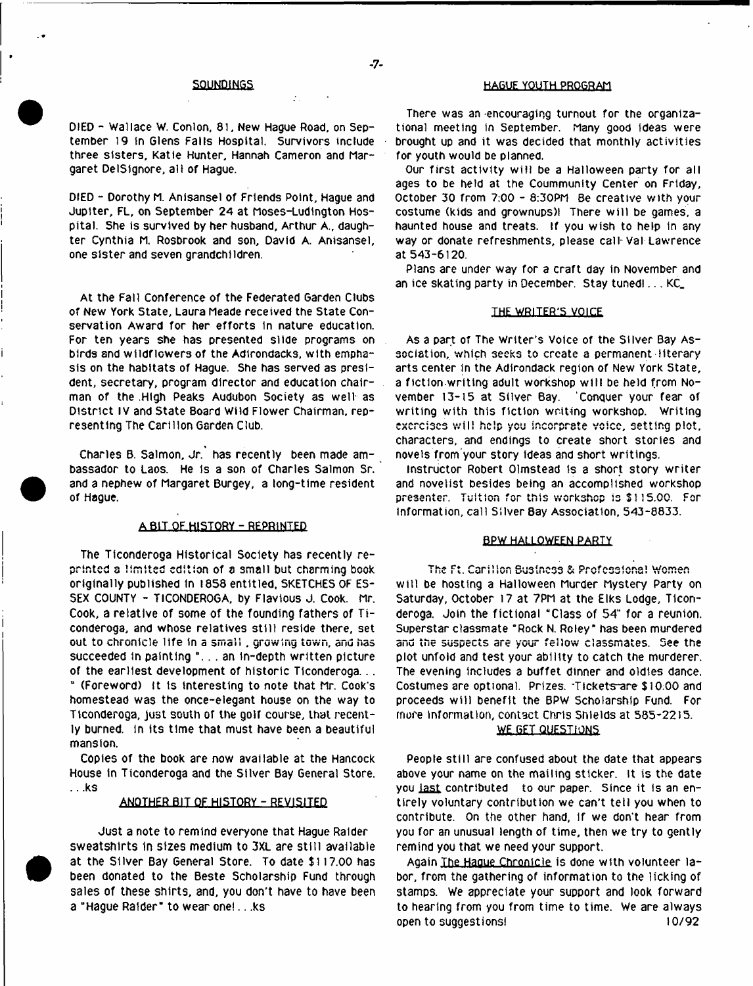DIED - Wallace W. Conlon, 81, New Hague Road, on September 19 In Glens Falls Hospital. Survivors include three sisters, Katie Hunter, Hannah Cameron and Margaret DelSlgnore, all of Hague.

DIED - Dorothy M. Anfsansel of Friends Point, Hague and Jupiter, FL, on September 24 at Moses-Ludlngton Hospital. She is survived by her husband, Arthur A., daughter Cynthia M. Rosbrook and son, David A. Anisansel, one sister and seven grandchildren.

At the Fall Conference of the Federated Garden Clubs of New York State, Laura Meade received the State Conservation Award for her efforts in nature education. For ten years she has presented slide programs on birds and wildflowers of the Adirondacks, with emphasis on the habitats of Hague. She has served as president, secretary, program director and education chairman of the .High Peaks Audubon Society as well as District IV and State Board Wild Flower Chairman, representing The Carillon Garden Club.

Charles B. Salmon, Jr. has recently been made ambassador to Laos. He is a son of Charles Salmon Sr. and a nephew of Margaret Burgey, a long-time resident of Hague.

### A BIT OF HISTORY - REPRINTED

The Ticonderoga Historical Society has recently reprinted a limited edition of a small but charming book originally published In 1858 entitled, SKETCHES OF ES-SEX COUNTY - TICONDEROGA, by Flavlous J. Cook. Mr. Cook, a relative of some of the founding fathers of Ticonderoga, and whose relatives still reside there, set out to chronicle life in a small , growing town, and has succeeded in painting °. . . an in-depth written picture of the earliest development of historic Ticonderoga... B (Foreword) It Is interesting to note that Mr. Cook's homestead was the once-etegant house on the way to Ticonderoga, Just south of the golf course, that recently burned, in its time that must have been a beautiful

Copies of the book are now available at the Hancock House in Ticonderoga and the Silver Bay General Store. .. ,ks

mansion.

### ANOTHER BIT OF HISTORY - REVISITED

Just a note to remind everyone that Hague Raider sweatshirts in sizes medium to 3XL are still available at the Silver Bay General Store. To date \$117.00 has been donated to the Beste Scholarship Fund through sales of these shirts, and, you don't have to have been a "Hague Raider" to wear one!.. .ks

# SOUNDINGS HAGUE YOUTH PROGRAM

There was an -encouraging turnout for the organizational meeting in September. Many good ideas were brought up and it was decided that monthly activities for youth would be planned.

Our first activity will be a Halloween party for all ages to be held at the Coummunity Center on Friday, October 30 from 7:00 - 8:30PM Be creative with your costume (kids and grownups)! There will be games, a haunted house and treats. If you wish to help in any way or donate refreshments, please call-Val Lawrence at 543-6120.

Plans are under way for a craft day in November and an ice skating party in December. Stay tuned!... KC\_

### THE WRITER'S VOICE

As a part of The Writer's Voice of the Silver Bay Association, which 3eeks to create a permanent literary arts center in the Adirondack region of New York State, a ftction writing adult workshop w ill be held from November 13-15 at Silver Bay. Conquer your fear of writing with this fiction writing workshop. Writing exercises w ill help you incorprste voice, setting plot, characters, and endings to create short stories and novels from'your story Ideas and short writings.

instructor Robert Olmstead Is a short story writer and novelist besides being an accomplished workshop presenter. Tuition for this workshop is \$115.00. For information, call Silver 8ay Association, 543-8833.

# BPW HALLOWEEN PARTY

The Ft. Carillon Business & Professions! Women w ill be hosting a Halloween Murder Mystery Party on Saturday, October 17 at 7PM at the Elks Lodge, Ticonderoga. Join the fictional "Class of 54" for a reunion. Superstar classmate "Rock N. Roley" has been murdered and the suspects are your fellow classmates. See the plot unfold and test your ability to catch the murderer. The evening includes a buffet dinner and oldies dance. Costumes are optional. Prizes. -Tlckets~are \$ 10.00 and proceeds w ill benefit the BPW Scholarship Fund. For more information, contact Chris Shields at 585-22)5.

# **WE GET QUESTIONS**

People still are confused about the date that appears above your name on the mailing sticker. It is the date you last contributed to our paper. Since it is an entirely voluntary contribution we can't tell you when to contribute. On the other hand, if we don't hear from you for an unusual length of time, then we try to gently remind you that we need your support.

Again The Hague Chronicle is done with volunteer labor, from the gathering of information to the licking of stamps. We appreciate your support and look forward to hearing from you from time to time. We are always open to suggestions! 10/92